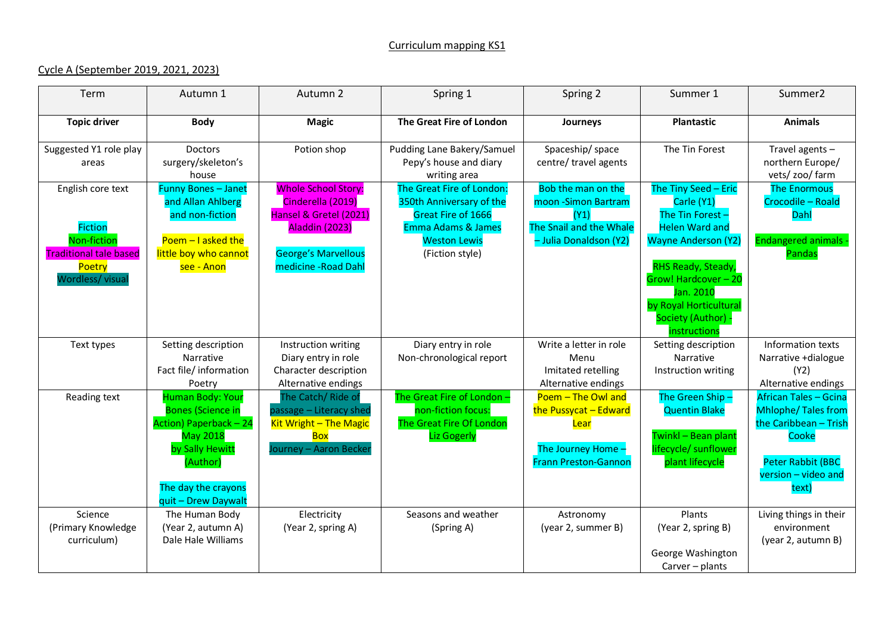## Curriculum mapping KS1

## Cycle A (September 2019, 2021, 2023)

| Term                                                                                       | Autumn 1                                                                                                                                                                      | Autumn 2                                                                                                                  | Spring 1                                                                                                                                               | Spring 2                                                                                                 | Summer 1                                                                                                                | Summer <sub>2</sub>                                                                                                                                     |
|--------------------------------------------------------------------------------------------|-------------------------------------------------------------------------------------------------------------------------------------------------------------------------------|---------------------------------------------------------------------------------------------------------------------------|--------------------------------------------------------------------------------------------------------------------------------------------------------|----------------------------------------------------------------------------------------------------------|-------------------------------------------------------------------------------------------------------------------------|---------------------------------------------------------------------------------------------------------------------------------------------------------|
| <b>Topic driver</b>                                                                        | <b>Body</b>                                                                                                                                                                   | <b>Magic</b>                                                                                                              | The Great Fire of London                                                                                                                               | Journeys                                                                                                 | <b>Plantastic</b>                                                                                                       | <b>Animals</b>                                                                                                                                          |
| Suggested Y1 role play<br>areas                                                            | Doctors<br>surgery/skeleton's<br>house                                                                                                                                        | Potion shop                                                                                                               | Pudding Lane Bakery/Samuel<br>Pepy's house and diary<br>writing area                                                                                   | Spaceship/space<br>centre/ travel agents                                                                 | The Tin Forest                                                                                                          | Travel agents -<br>northern Europe/<br>vets/ zoo/ farm                                                                                                  |
| English core text<br><b>Fiction</b><br><b>Non-fiction</b><br><b>Traditional tale based</b> | <b>Funny Bones - Janet</b><br>and Allan Ahlberg<br>and non-fiction<br>Poem $-1$ asked the<br>little boy who cannot                                                            | <b>Whole School Story:</b><br>Cinderella (2019)<br>Hansel & Gretel (2021)<br>Aladdin (2023)<br><b>George's Marvellous</b> | The Great Fire of London:<br>350th Anniversary of the<br>Great Fire of 1666<br><b>Emma Adams &amp; James</b><br><b>Weston Lewis</b><br>(Fiction style) | Bob the man on the<br>moon -Simon Bartram<br>(Y1)<br>The Snail and the Whale<br>- Julia Donaldson (Y2)   | The Tiny Seed - Eric<br>Carle (Y1)<br>The Tin Forest-<br><b>Helen Ward and</b><br><b>Wayne Anderson (Y2)</b>            | <b>The Enormous</b><br>Crocodile - Roald<br>Dahl<br><b>Endangered animals</b><br>Pandas                                                                 |
| Poetry<br>Wordless/ visual                                                                 | see - Anon                                                                                                                                                                    | medicine - Road Dahl                                                                                                      |                                                                                                                                                        |                                                                                                          | RHS Ready, Steady,<br>Grow! Hardcover - 20<br>Jan. 2010<br>by Royal Horticultural<br>Society (Author) -<br>instructions |                                                                                                                                                         |
| Text types                                                                                 | Setting description<br>Narrative<br>Fact file/ information<br>Poetry                                                                                                          | Instruction writing<br>Diary entry in role<br>Character description<br>Alternative endings                                | Diary entry in role<br>Non-chronological report                                                                                                        | Write a letter in role<br>Menu<br>Imitated retelling<br>Alternative endings                              | Setting description<br>Narrative<br>Instruction writing                                                                 | Information texts<br>Narrative +dialogue<br>(Y2)<br>Alternative endings                                                                                 |
| Reading text                                                                               | <b>Human Body: Your</b><br><b>Bones (Science in</b><br>Action) Paperback - 24<br><b>May 2018</b><br>by Sally Hewitt<br>(Author)<br>The day the crayons<br>quit - Drew Daywalt | The Catch/ Ride of<br>passage - Literacy shed<br>Kit Wright - The Magic<br><b>Box</b><br>Journey – Aaron Becker           | The Great Fire of London -<br>non-fiction focus:<br>The Great Fire Of London<br><b>Liz Gogerly</b>                                                     | Poem - The Owl and<br>the Pussycat - Edward<br>Lear<br>The Journey Home -<br><b>Frann Preston-Gannon</b> | The Green Ship-<br><b>Quentin Blake</b><br>Twinkl - Bean plant<br>lifecycle/ sunflower<br>plant lifecycle               | <b>African Tales - Gcina</b><br><b>Mhlophe/Tales from</b><br>the Caribbean - Trish<br>Cooke<br><b>Peter Rabbit (BBC</b><br>version - video and<br>text) |
| Science<br>(Primary Knowledge<br>curriculum)                                               | The Human Body<br>(Year 2, autumn A)<br>Dale Hale Williams                                                                                                                    | Electricity<br>(Year 2, spring A)                                                                                         | Seasons and weather<br>(Spring A)                                                                                                                      | Astronomy<br>(year 2, summer B)                                                                          | Plants<br>(Year 2, spring B)<br>George Washington<br>$Carver$ – plants                                                  | Living things in their<br>environment<br>(year 2, autumn B)                                                                                             |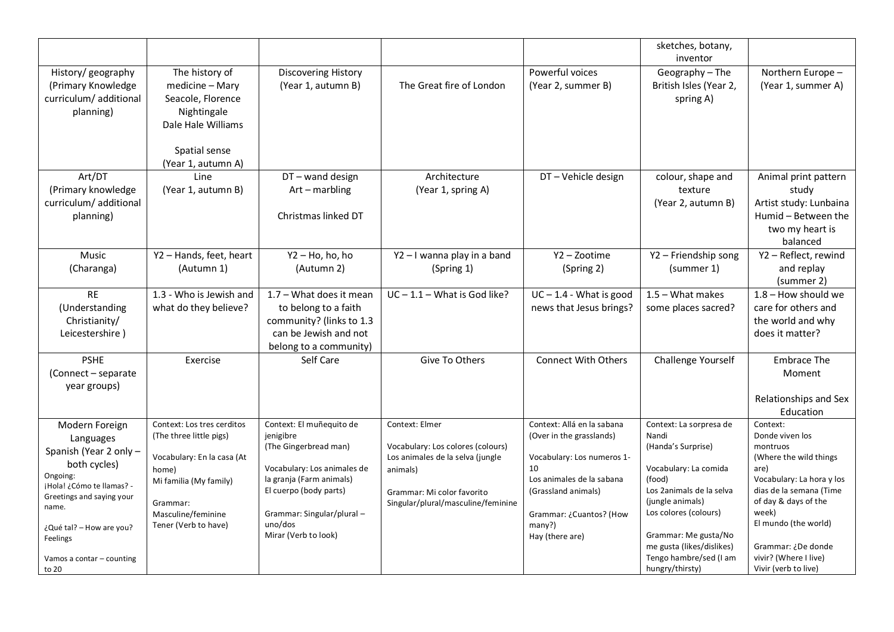|                                    |                                     |                             |                                                                       |                                  | sketches, botany,                                   |                                             |
|------------------------------------|-------------------------------------|-----------------------------|-----------------------------------------------------------------------|----------------------------------|-----------------------------------------------------|---------------------------------------------|
|                                    |                                     |                             |                                                                       |                                  | inventor                                            |                                             |
| History/geography                  | The history of                      | Discovering History         |                                                                       | Powerful voices                  | Geography - The                                     | Northern Europe -                           |
| (Primary Knowledge                 | medicine - Mary                     | (Year 1, autumn B)          | The Great fire of London                                              | (Year 2, summer B)               | British Isles (Year 2,                              | (Year 1, summer A)                          |
| curriculum/ additional             | Seacole, Florence                   |                             |                                                                       |                                  | spring A)                                           |                                             |
| planning)                          | Nightingale                         |                             |                                                                       |                                  |                                                     |                                             |
|                                    | Dale Hale Williams                  |                             |                                                                       |                                  |                                                     |                                             |
|                                    |                                     |                             |                                                                       |                                  |                                                     |                                             |
|                                    | Spatial sense                       |                             |                                                                       |                                  |                                                     |                                             |
|                                    | (Year 1, autumn A)                  |                             |                                                                       |                                  |                                                     |                                             |
| Art/DT                             | Line                                | DT-wand design              | Architecture                                                          | DT-Vehicle design                | colour, shape and                                   | Animal print pattern                        |
| (Primary knowledge                 | (Year 1, autumn B)                  | Art - marbling              | (Year 1, spring A)                                                    |                                  | texture                                             | study                                       |
| curriculum/additional              |                                     |                             |                                                                       |                                  | (Year 2, autumn B)                                  | Artist study: Lunbaina                      |
| planning)                          |                                     | Christmas linked DT         |                                                                       |                                  |                                                     | Humid - Between the                         |
|                                    |                                     |                             |                                                                       |                                  |                                                     | two my heart is                             |
|                                    |                                     |                             |                                                                       |                                  |                                                     | balanced                                    |
| <b>Music</b>                       | Y2 - Hands, feet, heart             | Y2 - Ho, ho, ho             | Y2-I wanna play in a band                                             | Y2 - Zootime                     | Y2 - Friendship song                                | Y2 - Reflect, rewind                        |
| (Charanga)                         | (Autumn 1)                          | (Autumn 2)                  | (Spring 1)                                                            | (Spring 2)                       | (summer 1)                                          | and replay                                  |
|                                    |                                     |                             |                                                                       |                                  |                                                     | (summer 2)                                  |
| <b>RE</b>                          | 1.3 - Who is Jewish and             | 1.7 - What does it mean     | $\overline{UC}$ – 1.1 – What is God like?                             | $UC - 1.4 - What is good$        | $1.5 - What makes$                                  | $1.8 -$ How should we                       |
|                                    |                                     |                             |                                                                       |                                  |                                                     |                                             |
| (Understanding                     | what do they believe?               | to belong to a faith        |                                                                       | news that Jesus brings?          | some places sacred?                                 | care for others and                         |
| Christianity/                      |                                     | community? (links to 1.3    |                                                                       |                                  |                                                     | the world and why                           |
| Leicestershire)                    |                                     | can be Jewish and not       |                                                                       |                                  |                                                     | does it matter?                             |
|                                    |                                     | belong to a community)      |                                                                       |                                  |                                                     |                                             |
| <b>PSHE</b>                        | Exercise                            | Self Care                   | Give To Others                                                        | <b>Connect With Others</b>       | Challenge Yourself                                  | Embrace The                                 |
| (Connect - separate                |                                     |                             |                                                                       |                                  |                                                     | Moment                                      |
| year groups)                       |                                     |                             |                                                                       |                                  |                                                     |                                             |
|                                    |                                     |                             |                                                                       |                                  |                                                     | Relationships and Sex                       |
|                                    |                                     |                             |                                                                       |                                  |                                                     | Education                                   |
| Modern Foreign                     | Context: Los tres cerditos          | Context: El muñequito de    | Context: Elmer                                                        | Context: Allá en la sabana       | Context: La sorpresa de                             | Context:                                    |
| Languages                          | (The three little pigs)             | jenigibre                   |                                                                       | (Over in the grasslands)         | Nandi                                               | Donde viven los                             |
| Spanish (Year 2 only -             |                                     | (The Gingerbread man)       | Vocabulary: Los colores (colours)<br>Los animales de la selva (jungle |                                  | (Handa's Surprise)                                  | montruos                                    |
| both cycles)                       | Vocabulary: En la casa (At<br>home) | Vocabulary: Los animales de | animals)                                                              | Vocabulary: Los numeros 1-<br>10 | Vocabulary: La comida                               | (Where the wild things<br>are)              |
| Ongoing:                           | Mi familia (My family)              | la granja (Farm animals)    |                                                                       | Los animales de la sabana        | (food)                                              | Vocabulary: La hora y los                   |
| ¡Hola! ¿Cómo te llamas? -          |                                     | El cuerpo (body parts)      | Grammar: Mi color favorito                                            | (Grassland animals)              | Los 2animals de la selva                            | dias de la semana (Time                     |
| Greetings and saying your<br>name. | Grammar:                            |                             | Singular/plural/masculine/feminine                                    |                                  | (jungle animals)                                    | of day & days of the                        |
|                                    | Masculine/feminine                  | Grammar: Singular/plural -  |                                                                       | Grammar: ¿Cuantos? (How          | Los colores (colours)                               | week)                                       |
| ¿Qué tal? - How are you?           | Tener (Verb to have)                | uno/dos                     |                                                                       | many?)                           |                                                     | El mundo (the world)                        |
| Feelings                           |                                     | Mirar (Verb to look)        |                                                                       | Hay (there are)                  | Grammar: Me gusta/No                                |                                             |
|                                    |                                     |                             |                                                                       |                                  | me gusta (likes/dislikes)<br>Tengo hambre/sed (I am | Grammar: ¿De donde<br>vivir? (Where I live) |
| Vamos a contar - counting<br>to 20 |                                     |                             |                                                                       |                                  | hungry/thirsty)                                     | Vivir (verb to live)                        |
|                                    |                                     |                             |                                                                       |                                  |                                                     |                                             |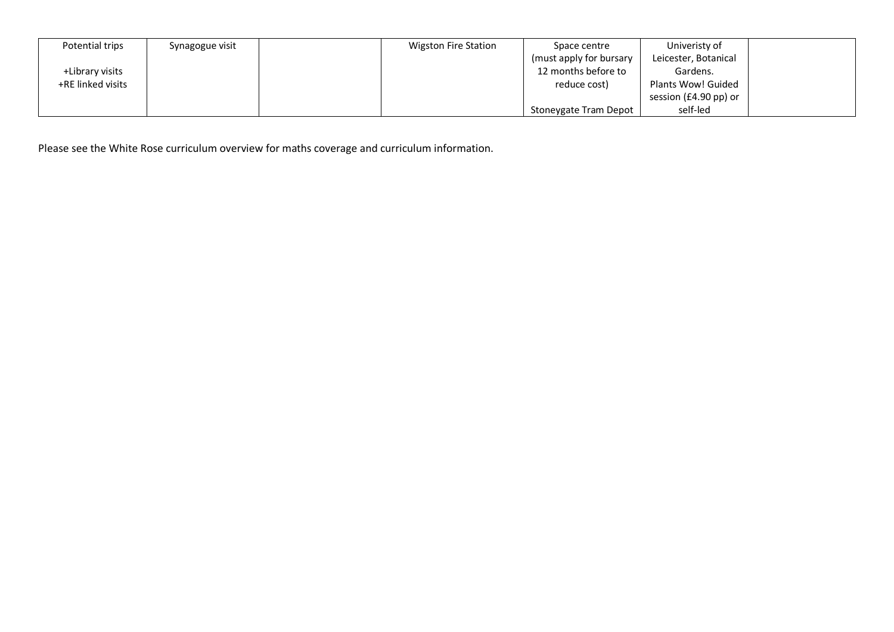| Potential trips   | Synagogue visit | <b>Wigston Fire Station</b> | Space centre             | Univeristy of         |  |
|-------------------|-----------------|-----------------------------|--------------------------|-----------------------|--|
|                   |                 |                             | (must apply for bursary) | Leicester, Botanical  |  |
| +Library visits   |                 |                             | 12 months before to      | Gardens.              |  |
| +RE linked visits |                 |                             | reduce cost)             | Plants Wow! Guided    |  |
|                   |                 |                             |                          | session (£4.90 pp) or |  |
|                   |                 |                             | Stoneygate Tram Depot    | self-led              |  |

Please see the White Rose curriculum overview for maths coverage and curriculum information.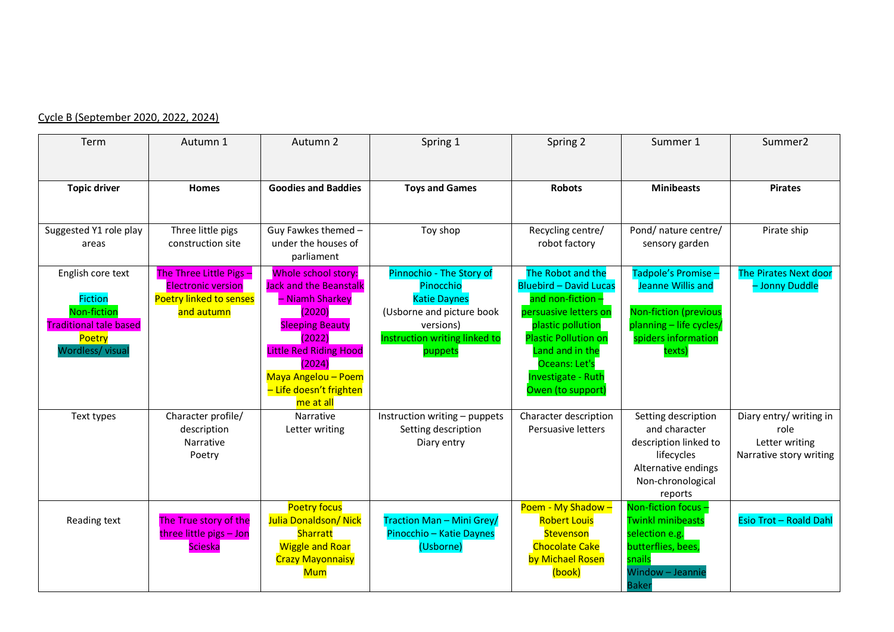## Cycle B (September 2020, 2022, 2024)

| Term                                                                                                              | Autumn 1                                                                                             | Autumn 2                                                                                                                                                                                                                        | Spring 1                                                                                                                                           | Spring 2                                                                                                                                                                                                                                     | Summer 1                                                                                                                              | Summer <sub>2</sub>                                                          |
|-------------------------------------------------------------------------------------------------------------------|------------------------------------------------------------------------------------------------------|---------------------------------------------------------------------------------------------------------------------------------------------------------------------------------------------------------------------------------|----------------------------------------------------------------------------------------------------------------------------------------------------|----------------------------------------------------------------------------------------------------------------------------------------------------------------------------------------------------------------------------------------------|---------------------------------------------------------------------------------------------------------------------------------------|------------------------------------------------------------------------------|
| <b>Topic driver</b>                                                                                               | <b>Homes</b>                                                                                         | <b>Goodies and Baddies</b>                                                                                                                                                                                                      | <b>Toys and Games</b>                                                                                                                              | <b>Robots</b>                                                                                                                                                                                                                                | <b>Minibeasts</b>                                                                                                                     | <b>Pirates</b>                                                               |
| Suggested Y1 role play<br>areas                                                                                   | Three little pigs<br>construction site                                                               | Guy Fawkes themed -<br>under the houses of<br>parliament                                                                                                                                                                        | Toy shop                                                                                                                                           | Recycling centre/<br>robot factory                                                                                                                                                                                                           | Pond/ nature centre/<br>sensory garden                                                                                                | Pirate ship                                                                  |
| English core text<br><b>Fiction</b><br>Non-fiction<br><b>Traditional tale based</b><br>Poetry<br>Wordless/ visual | The Three Little Pigs -<br><b>Electronic version</b><br><b>Poetry linked to senses</b><br>and autumn | Whole school story:<br><b>Jack and the Beanstalk</b><br>- Niamh Sharkey<br>(2020)<br><b>Sleeping Beauty</b><br>(2022)<br><b>Little Red Riding Hood</b><br>(2024)<br>Maya Angelou - Poem<br>- Life doesn't frighten<br>me at all | Pinnochio - The Story of<br>Pinocchio<br><b>Katie Daynes</b><br>(Usborne and picture book<br>versions)<br>Instruction writing linked to<br>puppets | The Robot and the<br><b>Bluebird - David Lucas</b><br>and non-fiction $-$<br>persuasive letters on<br>plastic pollution<br><b>Plastic Pollution on</b><br>Land and in the<br>Oceans: Let's<br><b>Investigate - Ruth</b><br>Owen (to support) | Tadpole's Promise -<br>Jeanne Willis and<br><b>Non-fiction (previous</b><br>planning - life cycles,<br>spiders information<br>texts)  | <b>The Pirates Next door</b><br>- Jonny Duddle                               |
| Text types                                                                                                        | Character profile/<br>description<br>Narrative<br>Poetry                                             | Narrative<br>Letter writing                                                                                                                                                                                                     | Instruction writing - puppets<br>Setting description<br>Diary entry                                                                                | Character description<br>Persuasive letters                                                                                                                                                                                                  | Setting description<br>and character<br>description linked to<br>lifecycles<br>Alternative endings<br>Non-chronological<br>reports    | Diary entry/ writing in<br>role<br>Letter writing<br>Narrative story writing |
| Reading text                                                                                                      | The True story of the<br>three little pigs - Jon<br><b>Scieska</b>                                   | <b>Poetry focus</b><br><b>Julia Donaldson/ Nick</b><br>Sharratt<br><b>Wiggle and Roar</b><br><b>Crazy Mayonnaisy</b><br><b>Mum</b>                                                                                              | Traction Man - Mini Grey/<br>Pinocchio - Katie Daynes<br>(Usborne)                                                                                 | Poem - My Shadow -<br><b>Robert Louis</b><br>Stevenson<br><b>Chocolate Cake</b><br>by Michael Rosen<br>(book)                                                                                                                                | Non-fiction focus -<br><b>Twinkl minibeasts</b><br>selection e.g.<br>butterflies, bees,<br>snails<br>Window - Jeannie<br><b>Baker</b> | Esio Trot - Roald Dahl                                                       |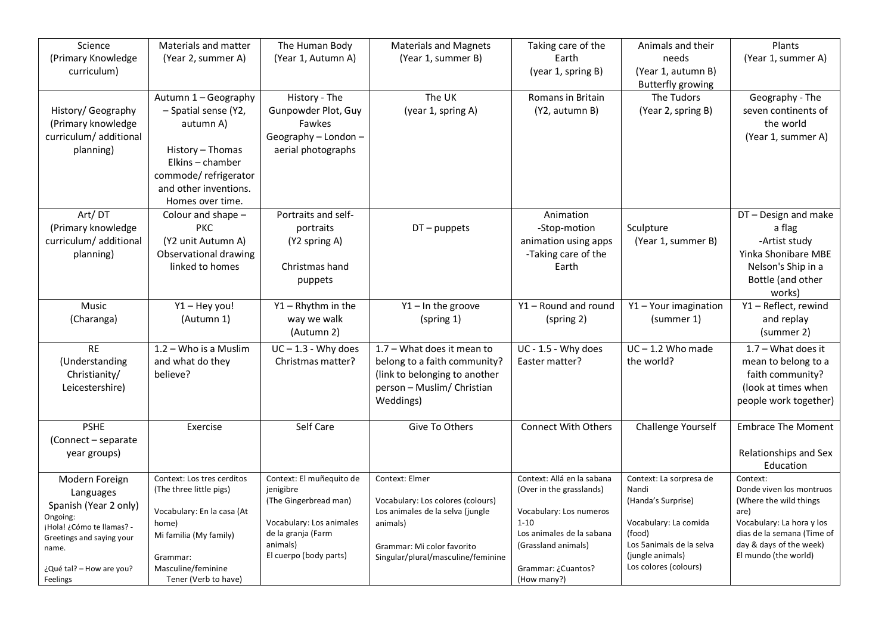| Science<br>Materials and matter<br>Plants<br>The Human Body<br><b>Materials and Magnets</b><br>Taking care of the<br>Animals and their<br>(Primary Knowledge<br>(Year 1, Autumn A)<br>(Year 1, summer B)<br>Earth<br>needs<br>(Year 1, summer A)<br>(Year 2, summer A)<br>curriculum)<br>(year 1, spring B)<br>(Year 1, autumn B)<br><b>Butterfly growing</b><br>The UK<br>Autumn 1 - Geography<br>History - The<br>Romans in Britain<br>The Tudors<br>Geography - The<br>Gunpowder Plot, Guy<br>History/ Geography<br>- Spatial sense (Y2,<br>(year 1, spring A)<br>(Y2, autumn B)<br>(Year 2, spring B)<br>seven continents of<br>(Primary knowledge<br>Fawkes<br>the world<br>autumn A)<br>curriculum/ additional<br>Geography - London -<br>(Year 1, summer A)<br>aerial photographs<br>planning)<br>History - Thomas<br>Elkins - chamber<br>commode/refrigerator<br>and other inventions.<br>Homes over time.<br>Art/DT<br>Portraits and self-<br>Colour and shape -<br>DT - Design and make<br>Animation<br>(Primary knowledge<br><b>PKC</b><br>portraits<br>$DT$ – puppets<br>-Stop-motion<br>Sculpture<br>a flag<br>curriculum/additional<br>(Y2 unit Autumn A)<br>animation using apps<br>(Year 1, summer B)<br>-Artist study<br>(Y2 spring A)<br>Observational drawing<br>Yinka Shonibare MBE<br>planning)<br>-Taking care of the<br>linked to homes<br>Christmas hand<br>Earth<br>Nelson's Ship in a<br>Bottle (and other<br>puppets<br>works)<br>Music<br>Y1-Hey you!<br>$Y1 - R$ hythm in the<br>$Y1 - In$ the groove<br>Y1 - Round and round<br>Y1 - Your imagination<br>$\overline{Y1}$ - Reflect, rewind |
|--------------------------------------------------------------------------------------------------------------------------------------------------------------------------------------------------------------------------------------------------------------------------------------------------------------------------------------------------------------------------------------------------------------------------------------------------------------------------------------------------------------------------------------------------------------------------------------------------------------------------------------------------------------------------------------------------------------------------------------------------------------------------------------------------------------------------------------------------------------------------------------------------------------------------------------------------------------------------------------------------------------------------------------------------------------------------------------------------------------------------------------------------------------------------------------------------------------------------------------------------------------------------------------------------------------------------------------------------------------------------------------------------------------------------------------------------------------------------------------------------------------------------------------------------------------------------------------------------------------------------|
|                                                                                                                                                                                                                                                                                                                                                                                                                                                                                                                                                                                                                                                                                                                                                                                                                                                                                                                                                                                                                                                                                                                                                                                                                                                                                                                                                                                                                                                                                                                                                                                                                          |
|                                                                                                                                                                                                                                                                                                                                                                                                                                                                                                                                                                                                                                                                                                                                                                                                                                                                                                                                                                                                                                                                                                                                                                                                                                                                                                                                                                                                                                                                                                                                                                                                                          |
|                                                                                                                                                                                                                                                                                                                                                                                                                                                                                                                                                                                                                                                                                                                                                                                                                                                                                                                                                                                                                                                                                                                                                                                                                                                                                                                                                                                                                                                                                                                                                                                                                          |
|                                                                                                                                                                                                                                                                                                                                                                                                                                                                                                                                                                                                                                                                                                                                                                                                                                                                                                                                                                                                                                                                                                                                                                                                                                                                                                                                                                                                                                                                                                                                                                                                                          |
|                                                                                                                                                                                                                                                                                                                                                                                                                                                                                                                                                                                                                                                                                                                                                                                                                                                                                                                                                                                                                                                                                                                                                                                                                                                                                                                                                                                                                                                                                                                                                                                                                          |
|                                                                                                                                                                                                                                                                                                                                                                                                                                                                                                                                                                                                                                                                                                                                                                                                                                                                                                                                                                                                                                                                                                                                                                                                                                                                                                                                                                                                                                                                                                                                                                                                                          |
|                                                                                                                                                                                                                                                                                                                                                                                                                                                                                                                                                                                                                                                                                                                                                                                                                                                                                                                                                                                                                                                                                                                                                                                                                                                                                                                                                                                                                                                                                                                                                                                                                          |
|                                                                                                                                                                                                                                                                                                                                                                                                                                                                                                                                                                                                                                                                                                                                                                                                                                                                                                                                                                                                                                                                                                                                                                                                                                                                                                                                                                                                                                                                                                                                                                                                                          |
|                                                                                                                                                                                                                                                                                                                                                                                                                                                                                                                                                                                                                                                                                                                                                                                                                                                                                                                                                                                                                                                                                                                                                                                                                                                                                                                                                                                                                                                                                                                                                                                                                          |
|                                                                                                                                                                                                                                                                                                                                                                                                                                                                                                                                                                                                                                                                                                                                                                                                                                                                                                                                                                                                                                                                                                                                                                                                                                                                                                                                                                                                                                                                                                                                                                                                                          |
|                                                                                                                                                                                                                                                                                                                                                                                                                                                                                                                                                                                                                                                                                                                                                                                                                                                                                                                                                                                                                                                                                                                                                                                                                                                                                                                                                                                                                                                                                                                                                                                                                          |
|                                                                                                                                                                                                                                                                                                                                                                                                                                                                                                                                                                                                                                                                                                                                                                                                                                                                                                                                                                                                                                                                                                                                                                                                                                                                                                                                                                                                                                                                                                                                                                                                                          |
|                                                                                                                                                                                                                                                                                                                                                                                                                                                                                                                                                                                                                                                                                                                                                                                                                                                                                                                                                                                                                                                                                                                                                                                                                                                                                                                                                                                                                                                                                                                                                                                                                          |
|                                                                                                                                                                                                                                                                                                                                                                                                                                                                                                                                                                                                                                                                                                                                                                                                                                                                                                                                                                                                                                                                                                                                                                                                                                                                                                                                                                                                                                                                                                                                                                                                                          |
|                                                                                                                                                                                                                                                                                                                                                                                                                                                                                                                                                                                                                                                                                                                                                                                                                                                                                                                                                                                                                                                                                                                                                                                                                                                                                                                                                                                                                                                                                                                                                                                                                          |
|                                                                                                                                                                                                                                                                                                                                                                                                                                                                                                                                                                                                                                                                                                                                                                                                                                                                                                                                                                                                                                                                                                                                                                                                                                                                                                                                                                                                                                                                                                                                                                                                                          |
|                                                                                                                                                                                                                                                                                                                                                                                                                                                                                                                                                                                                                                                                                                                                                                                                                                                                                                                                                                                                                                                                                                                                                                                                                                                                                                                                                                                                                                                                                                                                                                                                                          |
|                                                                                                                                                                                                                                                                                                                                                                                                                                                                                                                                                                                                                                                                                                                                                                                                                                                                                                                                                                                                                                                                                                                                                                                                                                                                                                                                                                                                                                                                                                                                                                                                                          |
|                                                                                                                                                                                                                                                                                                                                                                                                                                                                                                                                                                                                                                                                                                                                                                                                                                                                                                                                                                                                                                                                                                                                                                                                                                                                                                                                                                                                                                                                                                                                                                                                                          |
|                                                                                                                                                                                                                                                                                                                                                                                                                                                                                                                                                                                                                                                                                                                                                                                                                                                                                                                                                                                                                                                                                                                                                                                                                                                                                                                                                                                                                                                                                                                                                                                                                          |
| (Charanga)<br>(Autumn 1)<br>way we walk<br>(summer 1)<br>(spring 1)<br>(spring 2)<br>and replay<br>(Autumn 2)<br>(summer 2)                                                                                                                                                                                                                                                                                                                                                                                                                                                                                                                                                                                                                                                                                                                                                                                                                                                                                                                                                                                                                                                                                                                                                                                                                                                                                                                                                                                                                                                                                              |
|                                                                                                                                                                                                                                                                                                                                                                                                                                                                                                                                                                                                                                                                                                                                                                                                                                                                                                                                                                                                                                                                                                                                                                                                                                                                                                                                                                                                                                                                                                                                                                                                                          |
| <b>RE</b><br>$UC - 1.3 - Why does$<br>UC - 1.5 - Why does<br>$UC - 1.2$ Who made<br>1.2 - Who is a Muslim<br>1.7 - What does it mean to<br>$1.7 -$ What does it                                                                                                                                                                                                                                                                                                                                                                                                                                                                                                                                                                                                                                                                                                                                                                                                                                                                                                                                                                                                                                                                                                                                                                                                                                                                                                                                                                                                                                                          |
| Christmas matter?<br>(Understanding<br>and what do they<br>belong to a faith community?<br>Easter matter?<br>the world?<br>mean to belong to a                                                                                                                                                                                                                                                                                                                                                                                                                                                                                                                                                                                                                                                                                                                                                                                                                                                                                                                                                                                                                                                                                                                                                                                                                                                                                                                                                                                                                                                                           |
| Christianity/<br>believe?<br>(link to belonging to another<br>faith community?<br>Leicestershire)<br>person - Muslim/ Christian<br>(look at times when                                                                                                                                                                                                                                                                                                                                                                                                                                                                                                                                                                                                                                                                                                                                                                                                                                                                                                                                                                                                                                                                                                                                                                                                                                                                                                                                                                                                                                                                   |
| Weddings)<br>people work together)                                                                                                                                                                                                                                                                                                                                                                                                                                                                                                                                                                                                                                                                                                                                                                                                                                                                                                                                                                                                                                                                                                                                                                                                                                                                                                                                                                                                                                                                                                                                                                                       |
|                                                                                                                                                                                                                                                                                                                                                                                                                                                                                                                                                                                                                                                                                                                                                                                                                                                                                                                                                                                                                                                                                                                                                                                                                                                                                                                                                                                                                                                                                                                                                                                                                          |
| Self Care<br><b>PSHE</b><br>Give To Others<br><b>Connect With Others</b><br>Challenge Yourself<br><b>Embrace The Moment</b><br>Exercise                                                                                                                                                                                                                                                                                                                                                                                                                                                                                                                                                                                                                                                                                                                                                                                                                                                                                                                                                                                                                                                                                                                                                                                                                                                                                                                                                                                                                                                                                  |
| (Connect - separate                                                                                                                                                                                                                                                                                                                                                                                                                                                                                                                                                                                                                                                                                                                                                                                                                                                                                                                                                                                                                                                                                                                                                                                                                                                                                                                                                                                                                                                                                                                                                                                                      |
| Relationships and Sex<br>year groups)                                                                                                                                                                                                                                                                                                                                                                                                                                                                                                                                                                                                                                                                                                                                                                                                                                                                                                                                                                                                                                                                                                                                                                                                                                                                                                                                                                                                                                                                                                                                                                                    |
| Education                                                                                                                                                                                                                                                                                                                                                                                                                                                                                                                                                                                                                                                                                                                                                                                                                                                                                                                                                                                                                                                                                                                                                                                                                                                                                                                                                                                                                                                                                                                                                                                                                |
| Context: Allá en la sabana<br>Context: El muñequito de<br>Context: Elmer<br>Context: La sorpresa de<br>Context:<br>Context: Los tres cerditos<br>Modern Foreign                                                                                                                                                                                                                                                                                                                                                                                                                                                                                                                                                                                                                                                                                                                                                                                                                                                                                                                                                                                                                                                                                                                                                                                                                                                                                                                                                                                                                                                          |
| jenigibre<br>(Over in the grasslands)<br>Nandi<br>Donde viven los montruos<br>(The three little pigs)<br>Languages<br>(The Gingerbread man)<br>Vocabulary: Los colores (colours)<br>(Handa's Surprise)<br>(Where the wild things                                                                                                                                                                                                                                                                                                                                                                                                                                                                                                                                                                                                                                                                                                                                                                                                                                                                                                                                                                                                                                                                                                                                                                                                                                                                                                                                                                                         |
| Spanish (Year 2 only)<br>Vocabulary: En la casa (At<br>Los animales de la selva (jungle<br>Vocabulary: Los numeros<br>are)                                                                                                                                                                                                                                                                                                                                                                                                                                                                                                                                                                                                                                                                                                                                                                                                                                                                                                                                                                                                                                                                                                                                                                                                                                                                                                                                                                                                                                                                                               |
| Ongoing:<br>Vocabulary: Los animales<br>$1 - 10$<br>Vocabulary: La hora y los<br>Vocabulary: La comida<br>home)<br>animals)                                                                                                                                                                                                                                                                                                                                                                                                                                                                                                                                                                                                                                                                                                                                                                                                                                                                                                                                                                                                                                                                                                                                                                                                                                                                                                                                                                                                                                                                                              |
|                                                                                                                                                                                                                                                                                                                                                                                                                                                                                                                                                                                                                                                                                                                                                                                                                                                                                                                                                                                                                                                                                                                                                                                                                                                                                                                                                                                                                                                                                                                                                                                                                          |
| ¡Hola! ¿Cómo te llamas? -<br>de la granja (Farm<br>Los animales de la sabana<br>(food)<br>dias de la semana (Time of<br>Mi familia (My family)<br>Greetings and saying your                                                                                                                                                                                                                                                                                                                                                                                                                                                                                                                                                                                                                                                                                                                                                                                                                                                                                                                                                                                                                                                                                                                                                                                                                                                                                                                                                                                                                                              |
| day & days of the week)<br>animals)<br>Los 5 animals de la selva<br>(Grassland animals)<br>Grammar: Mi color favorito<br>name.                                                                                                                                                                                                                                                                                                                                                                                                                                                                                                                                                                                                                                                                                                                                                                                                                                                                                                                                                                                                                                                                                                                                                                                                                                                                                                                                                                                                                                                                                           |
| El cuerpo (body parts)<br>El mundo (the world)<br>(jungle animals)<br>Singular/plural/masculine/feminine<br>Grammar:<br>Los colores (colours)<br>Masculine/feminine<br>Grammar: ¿Cuantos?<br>¿Qué tal? - How are you?                                                                                                                                                                                                                                                                                                                                                                                                                                                                                                                                                                                                                                                                                                                                                                                                                                                                                                                                                                                                                                                                                                                                                                                                                                                                                                                                                                                                    |